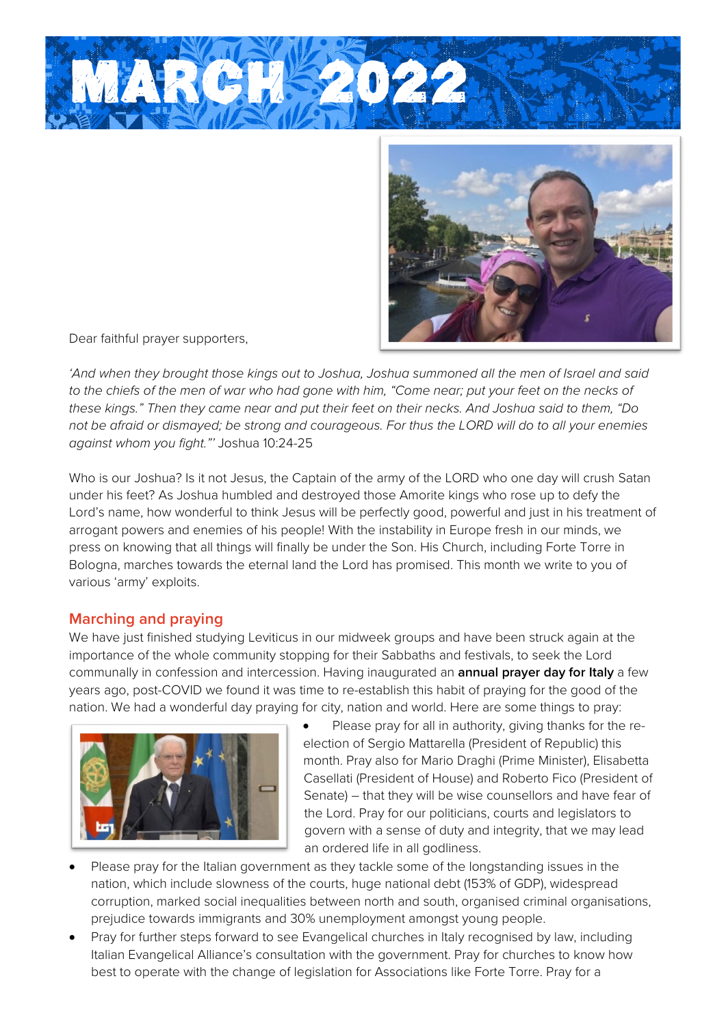



Dear faithful prayer supporters,

*'And when they brought those kings out to Joshua, Joshua summoned all the men of Israel and said*  to the chiefs of the men of war who had gone with him, "Come near; put your feet on the necks of *these kings." Then they came near and put their feet on their necks. And Joshua said to them, "Do not be afraid or dismayed; be strong and courageous. For thus the LORD will do to all your enemies against whom you fight."'* Joshua 10:24-25

Who is our Joshua? Is it not Jesus, the Captain of the army of the LORD who one day will crush Satan under his feet? As Joshua humbled and destroyed those Amorite kings who rose up to defy the Lord's name, how wonderful to think Jesus will be perfectly good, powerful and just in his treatment of arrogant powers and enemies of his people! With the instability in Europe fresh in our minds, we press on knowing that all things will finally be under the Son. His Church, including Forte Torre in Bologna, marches towards the eternal land the Lord has promised. This month we write to you of various 'army' exploits.

## **Marching and praying**

We have just finished studying Leviticus in our midweek groups and have been struck again at the importance of the whole community stopping for their Sabbaths and festivals, to seek the Lord communally in confession and intercession. Having inaugurated an **annual prayer day for Italy** a few years ago, post-COVID we found it was time to re-establish this habit of praying for the good of the nation. We had a wonderful day praying for city, nation and world. Here are some things to pray:



Please pray for all in authority, giving thanks for the reelection of Sergio Mattarella (President of Republic) this month. Pray also for Mario Draghi (Prime Minister), Elisabetta Casellati (President of House) and Roberto Fico (President of Senate) – that they will be wise counsellors and have fear of the Lord. Pray for our politicians, courts and legislators to govern with a sense of duty and integrity, that we may lead an ordered life in all godliness.

- Please pray for the Italian government as they tackle some of the longstanding issues in the nation, which include slowness of the courts, huge national debt (153% of GDP), widespread corruption, marked social inequalities between north and south, organised criminal organisations, prejudice towards immigrants and 30% unemployment amongst young people.
- Pray for further steps forward to see Evangelical churches in Italy recognised by law, including Italian Evangelical Alliance's consultation with the government. Pray for churches to know how best to operate with the change of legislation for Associations like Forte Torre. Pray for a